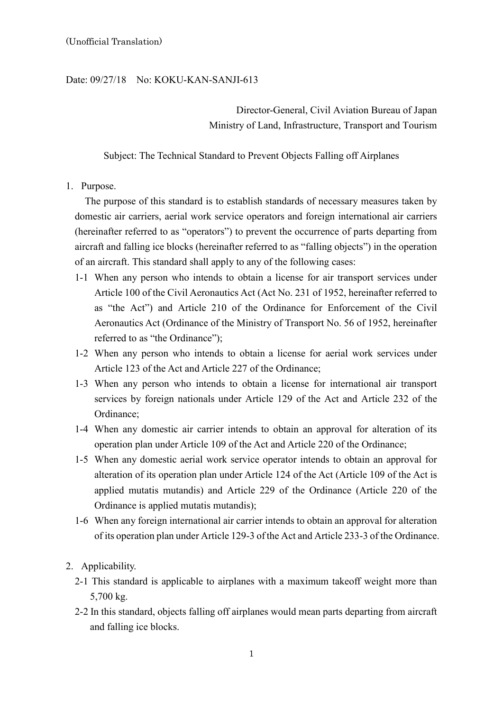## Date: 09/27/18 No: KOKU-KAN-SANJI-613

Director-General, Civil Aviation Bureau of Japan Ministry of Land, Infrastructure, Transport and Tourism

Subject: The Technical Standard to Prevent Objects Falling off Airplanes

1. Purpose.

The purpose of this standard is to establish standards of necessary measures taken by domestic air carriers, aerial work service operators and foreign international air carriers (hereinafter referred to as "operators") to prevent the occurrence of parts departing from aircraft and falling ice blocks (hereinafter referred to as "falling objects") in the operation of an aircraft. This standard shall apply to any of the following cases:

- 1-1 When any person who intends to obtain a license for air transport services under Article 100 of the Civil Aeronautics Act (Act No. 231 of 1952, hereinafter referred to as "the Act") and Article 210 of the Ordinance for Enforcement of the Civil Aeronautics Act (Ordinance of the Ministry of Transport No. 56 of 1952, hereinafter referred to as "the Ordinance");
- 1-2 When any person who intends to obtain a license for aerial work services under Article 123 of the Act and Article 227 of the Ordinance;
- 1-3 When any person who intends to obtain a license for international air transport services by foreign nationals under Article 129 of the Act and Article 232 of the Ordinance;
- 1-4 When any domestic air carrier intends to obtain an approval for alteration of its operation plan under Article 109 of the Act and Article 220 of the Ordinance;
- 1-5 When any domestic aerial work service operator intends to obtain an approval for alteration of its operation plan under Article 124 of the Act (Article 109 of the Act is applied mutatis mutandis) and Article 229 of the Ordinance (Article 220 of the Ordinance is applied mutatis mutandis):
- 1-6 When any foreign international air carrier intends to obtain an approval for alteration of its operation plan under Article 129-3 of the Act and Article 233-3 of the Ordinance.
- 2. Applicability.
	- 2-1 This standard is applicable to airplanes with a maximum takeoff weight more than 5,700 kg.
	- 2-2 In this standard, objects falling off airplanes would mean parts departing from aircraft and falling ice blocks.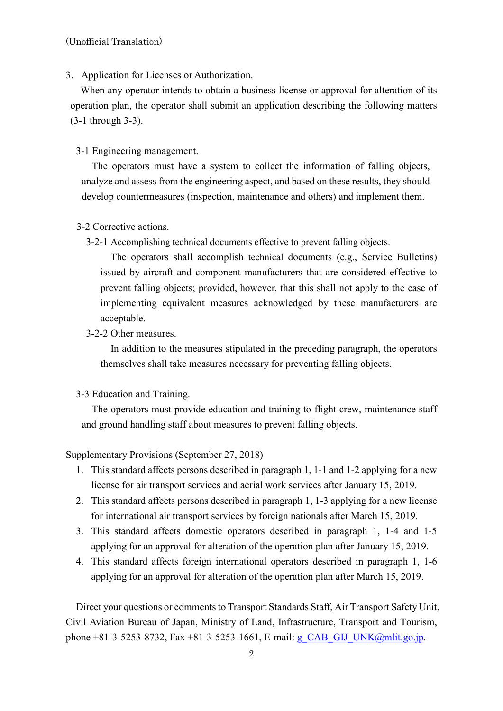3. Application for Licenses or Authorization.

When any operator intends to obtain a business license or approval for alteration of its operation plan, the operator shall submit an application describing the following matters (3-1 through 3-3).

3-1 Engineering management.

The operators must have a system to collect the information of falling objects, analyze and assess from the engineering aspect, and based on these results, they should develop countermeasures (inspection, maintenance and others) and implement them.

## 3-2 Corrective actions.

3-2-1 Accomplishing technical documents effective to prevent falling objects.

The operators shall accomplish technical documents (e.g., Service Bulletins) issued by aircraft and component manufacturers that are considered effective to prevent falling objects; provided, however, that this shall not apply to the case of implementing equivalent measures acknowledged by these manufacturers are acceptable.

3-2-2 Other measures.

In addition to the measures stipulated in the preceding paragraph, the operators themselves shall take measures necessary for preventing falling objects.

3-3 Education and Training.

The operators must provide education and training to flight crew, maintenance staff and ground handling staff about measures to prevent falling objects.

## Supplementary Provisions (September 27, 2018)

- 1. This standard affects persons described in paragraph 1, 1-1 and 1-2 applying for a new license for air transport services and aerial work services after January 15, 2019.
- 2. This standard affects persons described in paragraph 1, 1-3 applying for a new license for international air transport services by foreign nationals after March 15, 2019.
- 3. This standard affects domestic operators described in paragraph 1, 1-4 and 1-5 applying for an approval for alteration of the operation plan after January 15, 2019.
- 4. This standard affects foreign international operators described in paragraph 1, 1-6 applying for an approval for alteration of the operation plan after March 15, 2019.

Direct your questions or comments to Transport Standards Staff, Air Transport Safety Unit, Civil Aviation Bureau of Japan, Ministry of Land, Infrastructure, Transport and Tourism, phone +81-3-5253-8732, Fax +81-3-5253-1661, E-mail: g\_CAB\_GIJ\_UNK@mlit.go.jp.